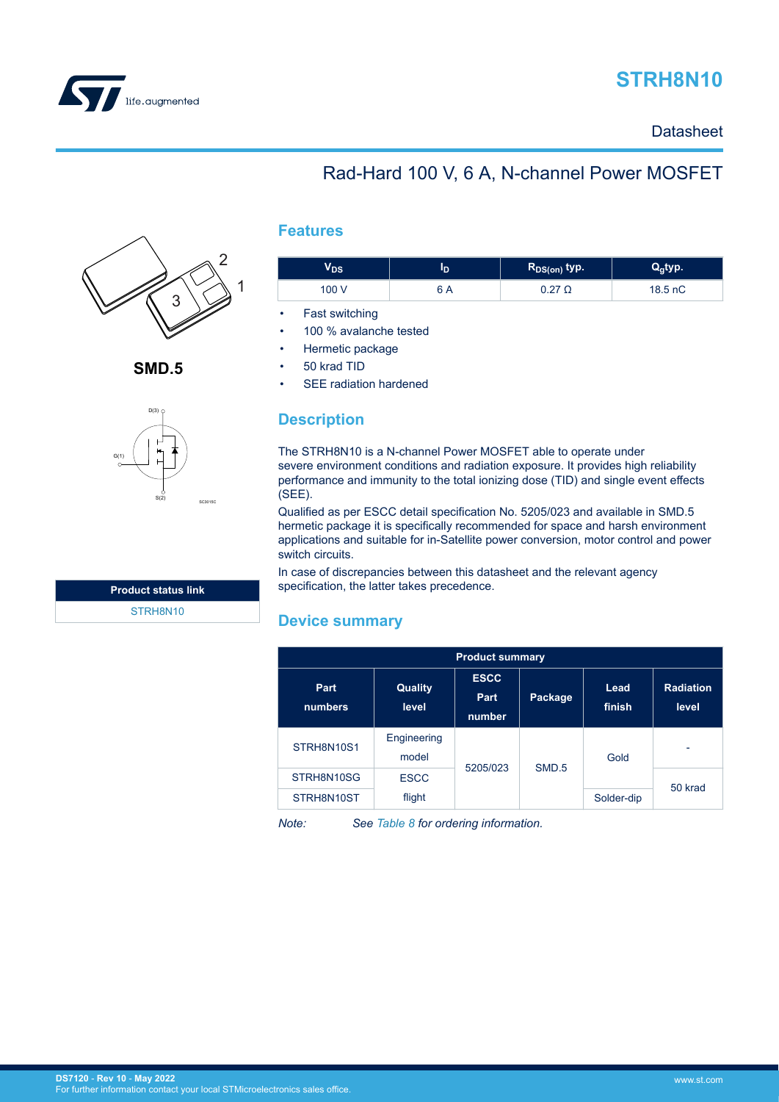

# **STRH8N10**

**Datasheet** 

# Rad-Hard 100 V, 6 A, N-channel Power MOSFET



**SMD.5**



| <b>Product status link</b> |  |
|----------------------------|--|
| STRH8N10                   |  |

### **Features**

| DS    | Æ | $R_{DS(on)}$ typ. |         |
|-------|---|-------------------|---------|
| 100 V |   |                   | 18.5 nC |

Fast switching

- 100 % avalanche tested
- Hermetic package
- 50 krad TID

SEE radiation hardened

### **Description**

The STRH8N10 is a N-channel Power MOSFET able to operate under severe environment conditions and radiation exposure. It provides high reliability performance and immunity to the total ionizing dose (TID) and single event effects (SEE).

Qualified as per ESCC detail specification No. 5205/023 and available in SMD.5 hermetic package it is specifically recommended for space and harsh environment applications and suitable for in-Satellite power conversion, motor control and power switch circuits.

In case of discrepancies between this datasheet and the relevant agency specification, the latter takes precedence.

### **Device summary**

| <b>Product summary</b> |                         |                               |                              |                |                            |  |         |
|------------------------|-------------------------|-------------------------------|------------------------------|----------------|----------------------------|--|---------|
| Part<br>numbers        | <b>Quality</b><br>level | <b>ESCC</b><br>Part<br>number | Package                      | Lead<br>finish | <b>Radiation</b><br>level. |  |         |
| STRH8N10S1             | Engineering<br>model    |                               |                              | Gold           |                            |  |         |
| STRH8N10SG             | <b>ESCC</b>             |                               | 5205/023<br>SMD <sub>5</sub> |                |                            |  | 50 krad |
| STRH8N10ST             | flight                  |                               |                              | Solder-dip     |                            |  |         |

*Note: See [Table 8](#page-10-0) for ordering information.*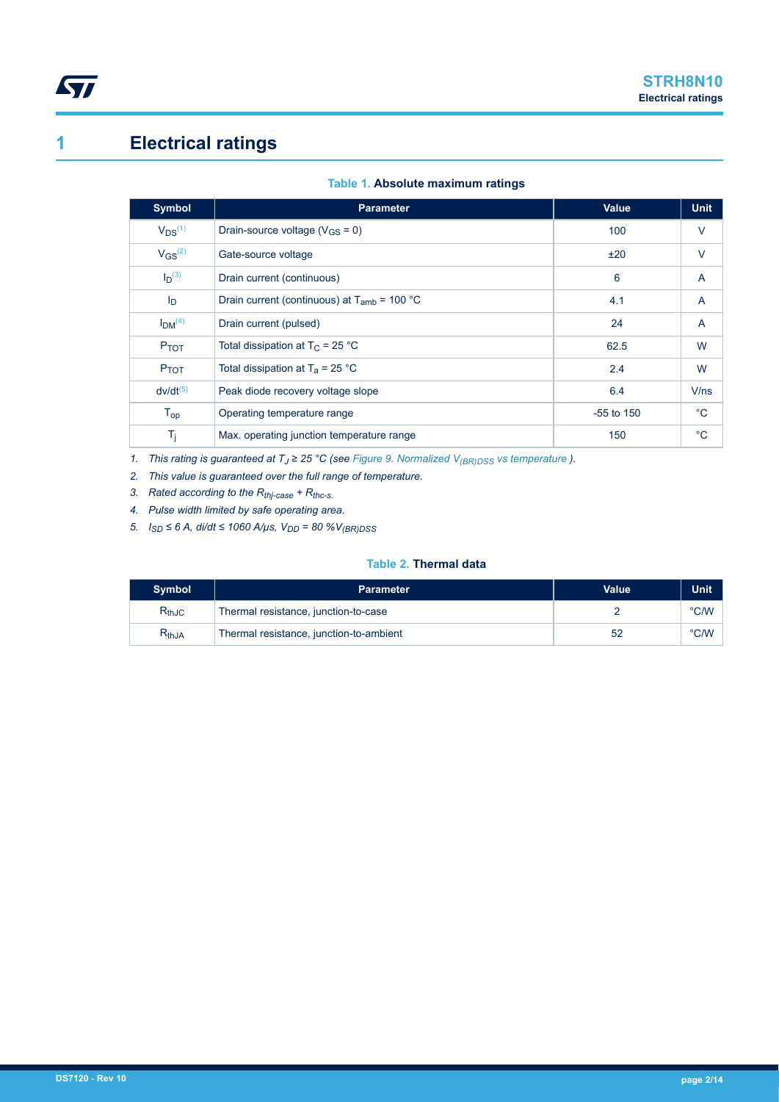

# **1 Electrical ratings**

|  | Table 1. Absolute maximum ratings |  |
|--|-----------------------------------|--|
|  |                                   |  |

| <b>Symbol</b>                  | <b>Parameter</b>                                 | <b>Value</b> | <b>Unit</b> |
|--------------------------------|--------------------------------------------------|--------------|-------------|
| $V_{DS}^{(1)}$                 | Drain-source voltage ( $V_{GS}$ = 0)             | 100          | $\vee$      |
| $V$ <sub>GS</sub> $(2)$        | Gate-source voltage                              | ±20          | $\vee$      |
| $I_D^{(3)}$                    | Drain current (continuous)                       | 6            | A           |
| $I_{\text{D}}$                 | Drain current (continuous) at $T_{amb}$ = 100 °C | 4.1          | A           |
| I <sub>DM</sub> <sup>(4)</sup> | Drain current (pulsed)                           | 24           | A           |
| P <sub>TOT</sub>               | Total dissipation at $T_C = 25 °C$               | 62.5         | W           |
| P <sub>TOT</sub>               | Total dissipation at $T_a = 25$ °C               | 2.4          | W           |
| $dv/dt^{(5)}$                  | Peak diode recovery voltage slope                | 6.4          | V/ns        |
| $T_{op}$                       | Operating temperature range                      | $-55$ to 150 | $^{\circ}C$ |
| $T_{\rm i}$                    | Max. operating junction temperature range        | 150          | $^{\circ}C$ |

*1.* This rating is guaranteed at *T*<sub>J</sub> ≥ 25 °C (see [Figure 9. Normalized V](#page-7-0)<sub>(BR)DSS</sub> vs temperature ).

*2. This value is guaranteed over the full range of temperature.*

*3. Rated according to the Rthj-case + Rthc-s.*

*4. Pulse width limited by safe operating area.*

*5. ISD ≤ 6 A, di/dt ≤ 1060 A/μs, VDD = 80 %V(BR)DSS*

#### **Table 2. Thermal data**

| <b>Symbol</b> | <b>Parameter</b>                        | Value | Unit |
|---------------|-----------------------------------------|-------|------|
| $R_{thJC}$    | Thermal resistance, junction-to-case    |       | °C/W |
| $R_{thJA}$    | Thermal resistance, junction-to-ambient | 52    | °C/W |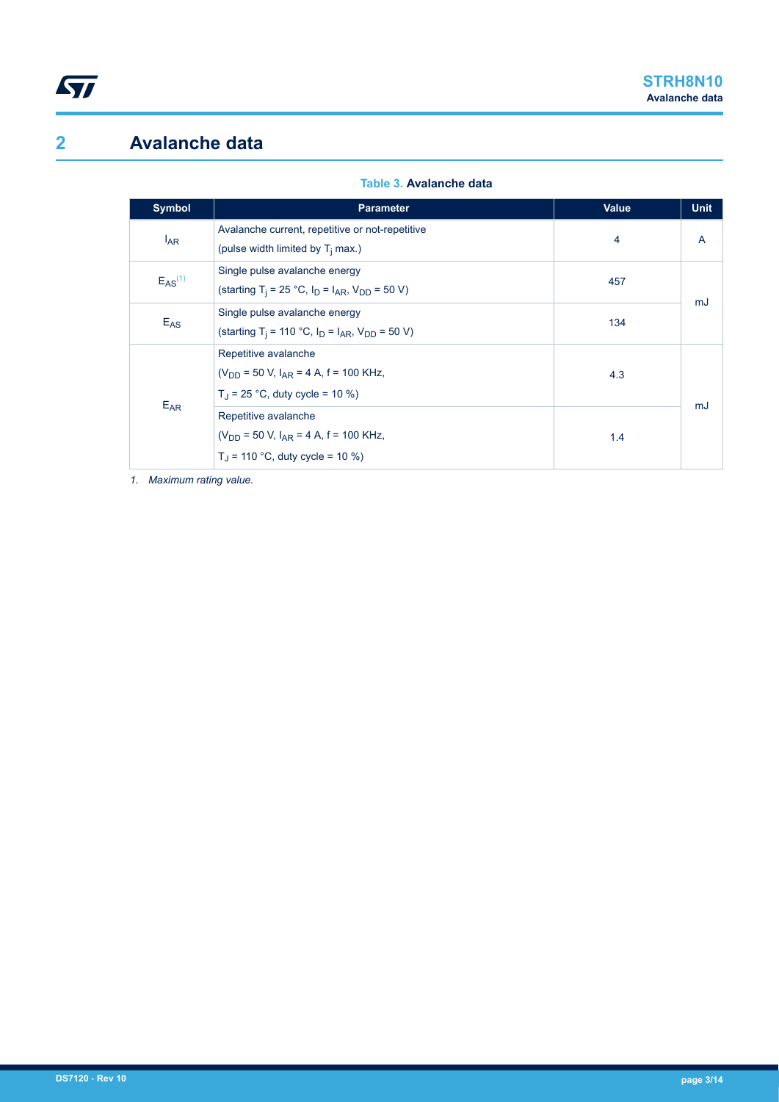# **2 Avalanche data**

| Table 3. Avalanche data |  |  |  |
|-------------------------|--|--|--|
|                         |  |  |  |

| Symbol         | <b>Parameter</b>                                                                                                               | <b>Value</b> | <b>Unit</b>  |
|----------------|--------------------------------------------------------------------------------------------------------------------------------|--------------|--------------|
| $I_{AR}$       | Avalanche current, repetitive or not-repetitive<br>(pulse width limited by T <sub>i</sub> max.)                                | 4            | $\mathsf{A}$ |
| $E_{AS}^{(1)}$ | Single pulse avalanche energy<br>(starting T <sub>i</sub> = 25 °C, $I_D = I_{AR}$ , $V_{DD} = 50$ V)                           | 457          | mJ           |
| $E_{AS}$       | Single pulse avalanche energy<br>(starting T <sub>i</sub> = 110 °C, I <sub>D</sub> = I <sub>AR</sub> , V <sub>DD</sub> = 50 V) | 134          |              |
| $E_{AR}$       | Repetitive avalanche<br>$(V_{DD} = 50 V, I_{AR} = 4 A, f = 100 KHz,$<br>$T_1$ = 25 °C, duty cycle = 10 %)                      | 4.3          |              |
|                | Repetitive avalanche<br>$(V_{DD} = 50 V, I_{AR} = 4 A, f = 100 KHz,$<br>$T_1$ = 110 °C, duty cycle = 10 %)                     | 1.4          | mJ           |

*1. Maximum rating value.*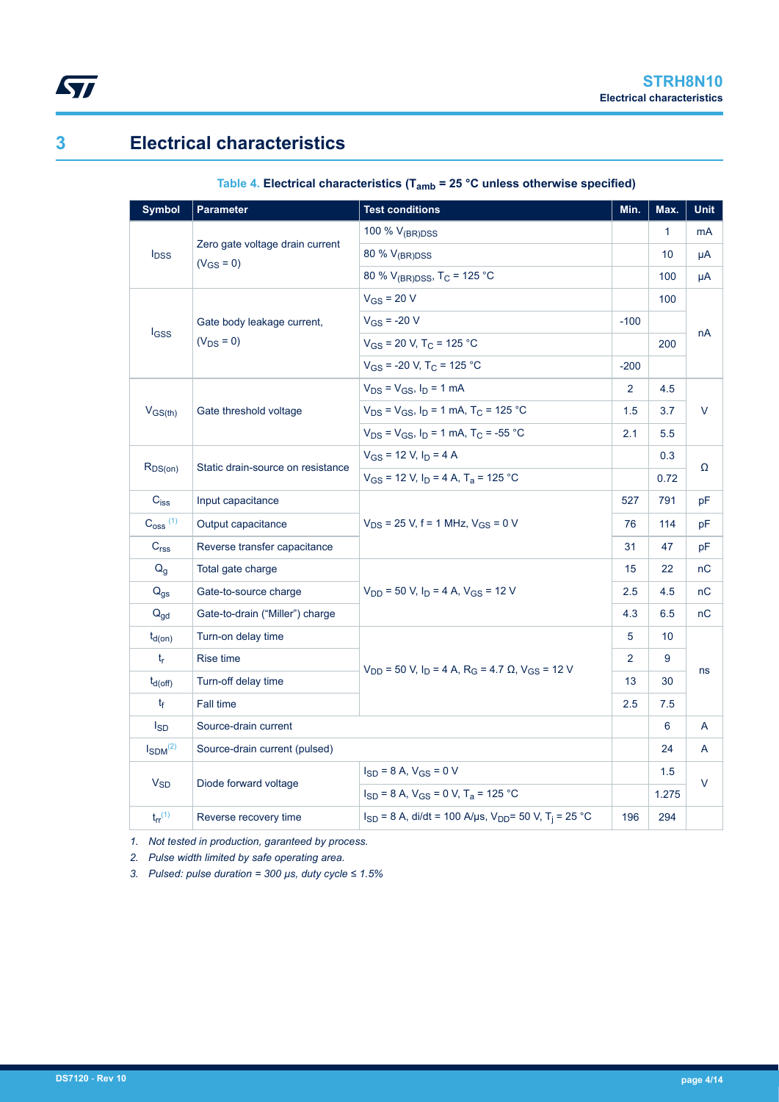<span id="page-3-0"></span>

# **3 Electrical characteristics**

| <b>Symbol</b>           | <b>Parameter</b>                                  | <b>Test conditions</b>                                                                        | Min.           | Max.            | <b>Unit</b> |
|-------------------------|---------------------------------------------------|-----------------------------------------------------------------------------------------------|----------------|-----------------|-------------|
|                         |                                                   | 100 % $V_{(BR)DSS}$                                                                           |                | $\mathbf{1}$    | mA          |
| $I_{\text{DSS}}$        | Zero gate voltage drain current<br>$(V_{GS} = 0)$ | 80 % V <sub>(BR)DSS</sub>                                                                     |                | 10 <sup>°</sup> | μA          |
|                         |                                                   | 80 % $V_{(BR)DSS}$ , T <sub>C</sub> = 125 °C                                                  |                | 100             | μA          |
|                         |                                                   | $V_{GS}$ = 20 V                                                                               |                | 100             |             |
|                         | Gate body leakage current,                        | $V_{GS}$ = -20 V                                                                              | $-100$         |                 | nA          |
| <b>I</b> GSS            | $(V_{DS} = 0)$                                    | $V_{GS}$ = 20 V, T <sub>C</sub> = 125 °C                                                      |                | 200             |             |
|                         |                                                   | $V_{GS}$ = -20 V, T <sub>C</sub> = 125 °C                                                     | $-200$         |                 |             |
|                         |                                                   | $V_{DS} = V_{GS}$ , $I_D = 1$ mA                                                              | 2              | 4.5             |             |
| $V_{GS(th)}$            | Gate threshold voltage                            | $V_{DS}$ = $V_{GS}$ , $I_D$ = 1 mA, T <sub>C</sub> = 125 °C                                   | 1.5            | 3.7             | V           |
|                         |                                                   | $V_{DS}$ = $V_{GS}$ , $I_D$ = 1 mA, T <sub>C</sub> = -55 °C                                   | 2.1            | 5.5             |             |
|                         |                                                   | $V_{GS}$ = 12 V, $I_D$ = 4 A                                                                  |                | 0.3             |             |
| $R_{DS(on)}$            | Static drain-source on resistance                 | $V_{GS}$ = 12 V, I <sub>D</sub> = 4 A, T <sub>a</sub> = 125 °C                                |                | 0.72            | Ω           |
| $C_{iss}$               | Input capacitance                                 |                                                                                               | 527            | 791             | рF          |
| $C_{\rm 0SS}$ (1)       | Output capacitance                                | $V_{DS}$ = 25 V, f = 1 MHz, $V_{GS}$ = 0 V                                                    | 76             | 114             | рF          |
| C <sub>rss</sub>        | Reverse transfer capacitance                      |                                                                                               | 31             | 47              | pF          |
| $Q_q$                   | Total gate charge                                 |                                                                                               | 15             | 22              | nC          |
| $Q_{gs}$                | Gate-to-source charge                             | $V_{DD}$ = 50 V, $I_D$ = 4 A, $V_{GS}$ = 12 V                                                 | 2.5            | 4.5             | nC          |
| $Q_{gd}$                | Gate-to-drain ("Miller") charge                   |                                                                                               | 4.3            | 6.5             | nC          |
| $t_{d(on)}$             | Turn-on delay time                                |                                                                                               | 5              | 10 <sup>°</sup> |             |
| $t_{\sf r}$             | <b>Rise time</b>                                  |                                                                                               | $\overline{2}$ | 9               |             |
| $t_{d(Off)}$            | Turn-off delay time                               | $V_{DD}$ = 50 V, I <sub>D</sub> = 4 A, R <sub>G</sub> = 4.7 $\Omega$ , V <sub>GS</sub> = 12 V | 13             | 30              | ns          |
| $t_{\rm f}$             | Fall time                                         |                                                                                               |                | 7.5             |             |
| <b>I</b> <sub>SD</sub>  | Source-drain current                              |                                                                                               |                | 6               | A           |
| $I_{SDM}^{(2)}$         | Source-drain current (pulsed)                     |                                                                                               |                | 24              | A           |
|                         |                                                   | $I_{SD}$ = 8 A, $V_{GS}$ = 0 V                                                                |                | 1.5             |             |
| $V_{SD}$                | Diode forward voltage                             | $I_{SD}$ = 8 A, $V_{GS}$ = 0 V, T <sub>a</sub> = 125 °C                                       |                | 1.275           | $\vee$      |
| $t_{rr}$ <sup>(1)</sup> | Reverse recovery time                             | $I_{SD}$ = 8 A, di/dt = 100 A/µs, V <sub>DD</sub> = 50 V, T <sub>i</sub> = 25 °C              | 196            | 294             |             |

### **Table 4. Electrical characteristics (Tamb = 25 °C unless otherwise specified)**

*1. Not tested in production, garanteed by process.*

*2. Pulse width limited by safe operating area.*

*3. Pulsed: pulse duration = 300 µs, duty cycle ≤ 1.5%*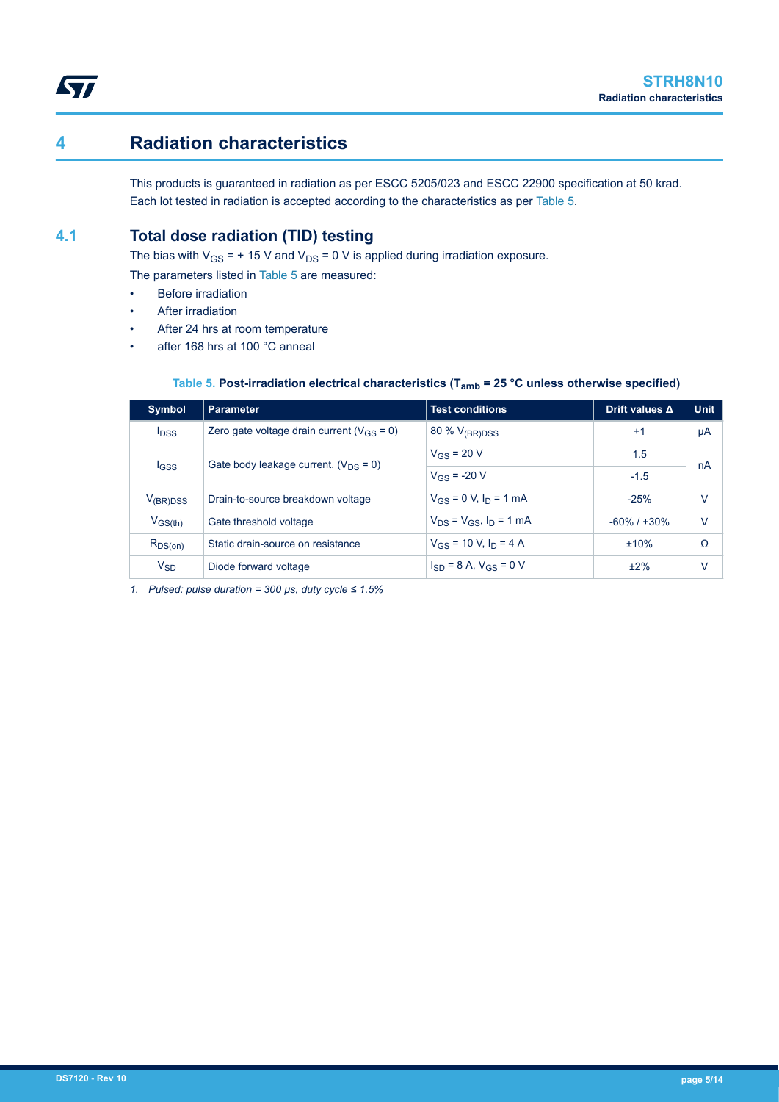

## **4 Radiation characteristics**

This products is guaranteed in radiation as per ESCC 5205/023 and ESCC 22900 specification at 50 krad. Each lot tested in radiation is accepted according to the characteristics as per Table 5.

### **4.1 Total dose radiation (TID) testing**

The bias with  $V_{GS}$  = + 15 V and  $V_{DS}$  = 0 V is applied during irradiation exposure.

The parameters listed in Table 5 are measured:

- **Before irradiation**
- After irradiation
- After 24 hrs at room temperature
- after 168 hrs at 100 °C anneal

### **Table 5. Post-irradiation electrical characteristics (Tamb = 25 °C unless otherwise specified)**

| <b>Symbol</b>           | <b>Parameter</b>                                 | <b>Test conditions</b>           | Drift values $\Delta$ | <b>Unit</b> |
|-------------------------|--------------------------------------------------|----------------------------------|-----------------------|-------------|
| <b>I</b> <sub>DSS</sub> | Zero gate voltage drain current ( $V_{GS} = 0$ ) | 80 % $V_{(BR)DSS}$               | $+1$                  | μA          |
|                         | Gate body leakage current, $(V_{DS} = 0)$        | $V_{GS}$ = 20 V                  | 1.5                   | nA          |
| $_{\text{GSS}}$         |                                                  | $V_{GS}$ = -20 V                 | $-1.5$                |             |
| $V_{(BR)DSS}$           | Drain-to-source breakdown voltage                | $V_{GS} = 0$ V, $I_D = 1$ mA     | $-25%$                | v           |
| $V_{GS(th)}$            | Gate threshold voltage                           | $V_{DS} = V_{GS}$ , $I_D = 1$ mA | $-60\%$ / $+30\%$     | V           |
| $R_{DS(on)}$            | Static drain-source on resistance                | $V_{GS}$ = 10 V, $I_D$ = 4 A     | ±10%                  | Ω           |
| $V_{SD}$                | Diode forward voltage                            | $I_{SD} = 8 A$ , $V_{GS} = 0 V$  | ±2%                   | V           |

*1. Pulsed: pulse duration = 300 µs, duty cycle ≤ 1.5%*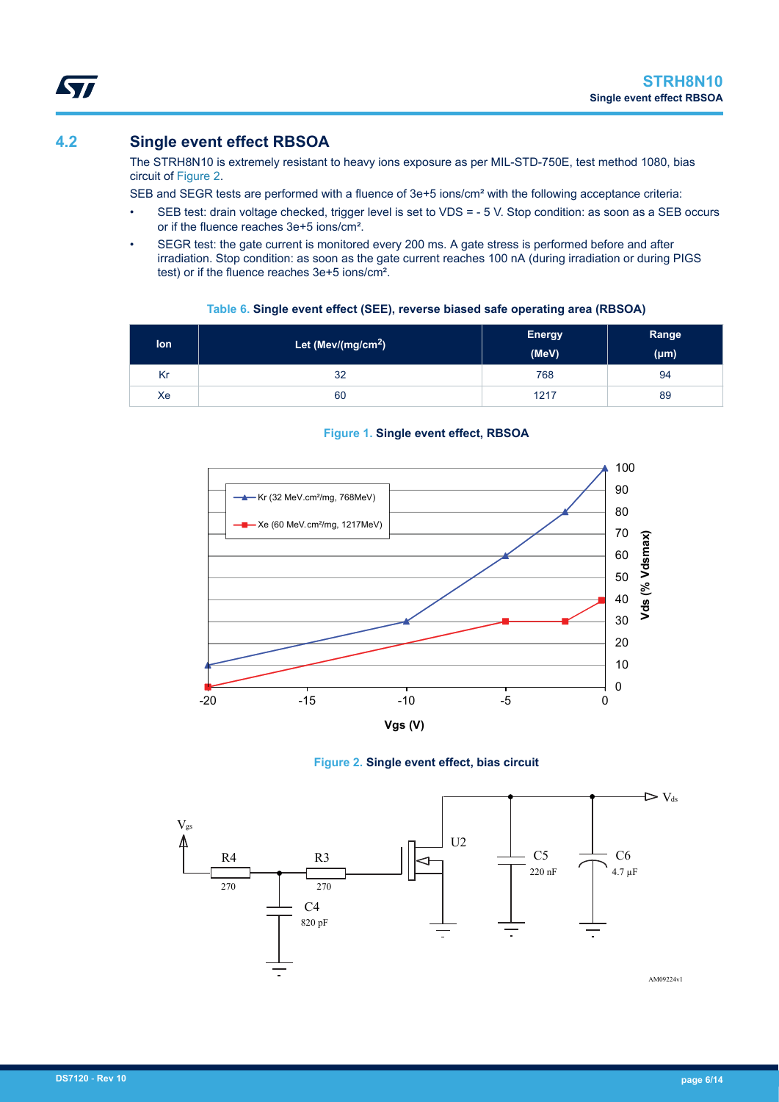### **4.2 Single event effect RBSOA**

The STRH8N10 is extremely resistant to heavy ions exposure as per MIL-STD-750E, test method 1080, bias circuit of Figure 2.

SEB and SEGR tests are performed with a fluence of 3e+5 ions/cm² with the following acceptance criteria:

- SEB test: drain voltage checked, trigger level is set to VDS = 5 V. Stop condition: as soon as a SEB occurs or if the fluence reaches 3e+5 ions/cm².
- SEGR test: the gate current is monitored every 200 ms. A gate stress is performed before and after irradiation. Stop condition: as soon as the gate current reaches 100 nA (during irradiation or during PIGS test) or if the fluence reaches 3e+5 ions/cm².

### **Table 6. Single event effect (SEE), reverse biased safe operating area (RBSOA)**

| lon | Let (Mev/(mg/cm <sup>2</sup> ) | <b>Energy</b><br>(MeV) | Range<br>$(\mu m)$ |
|-----|--------------------------------|------------------------|--------------------|
| Kr  | 32                             | 768                    | 94                 |
| Xe  | 60                             | 1217                   | 89                 |

### **Figure 1. Single event effect, RBSOA**





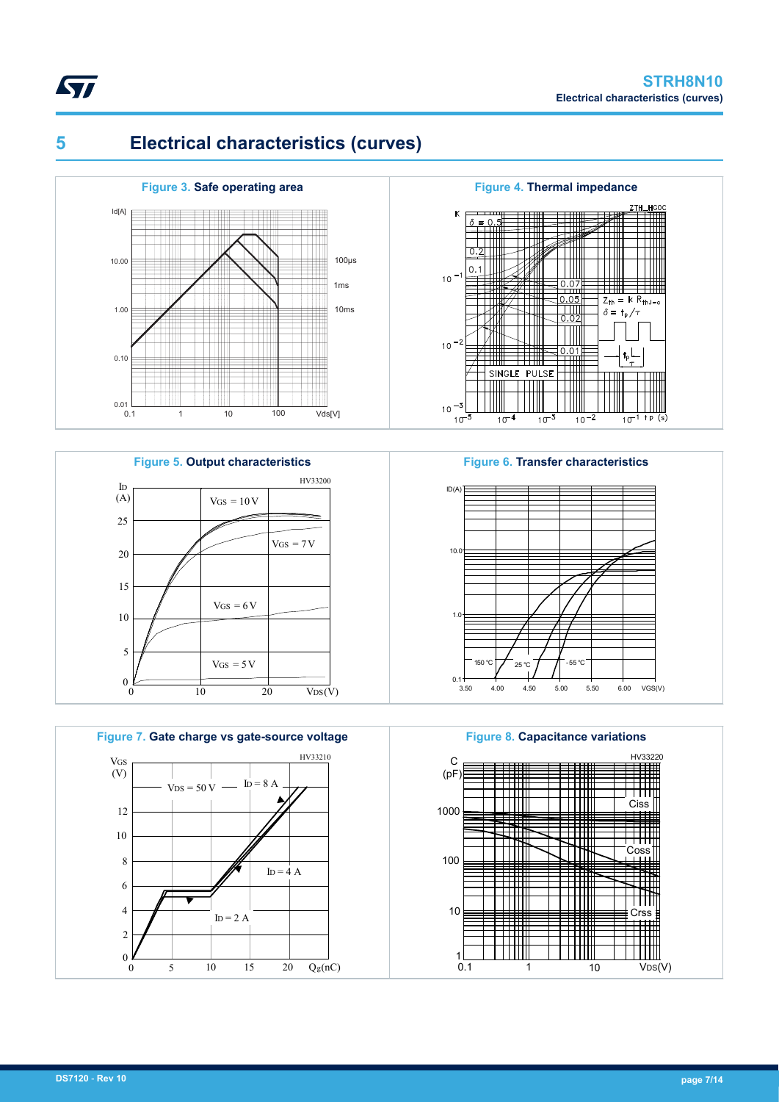

# **5 Electrical characteristics (curves)**



**Figure 5. Output characteristics** 15 ID 10 5 (A) 20 25  $VGS = 5 V$  $VGS = 6V$  $VGS = 7 V$ HV33200  $VGS = 10 V$ 



0 10 20

 $VDS(V)$ 



#### **Figure 6. Transfer characteristics**



**Figure 8. Capacitance variations**



 $\frac{0}{0}$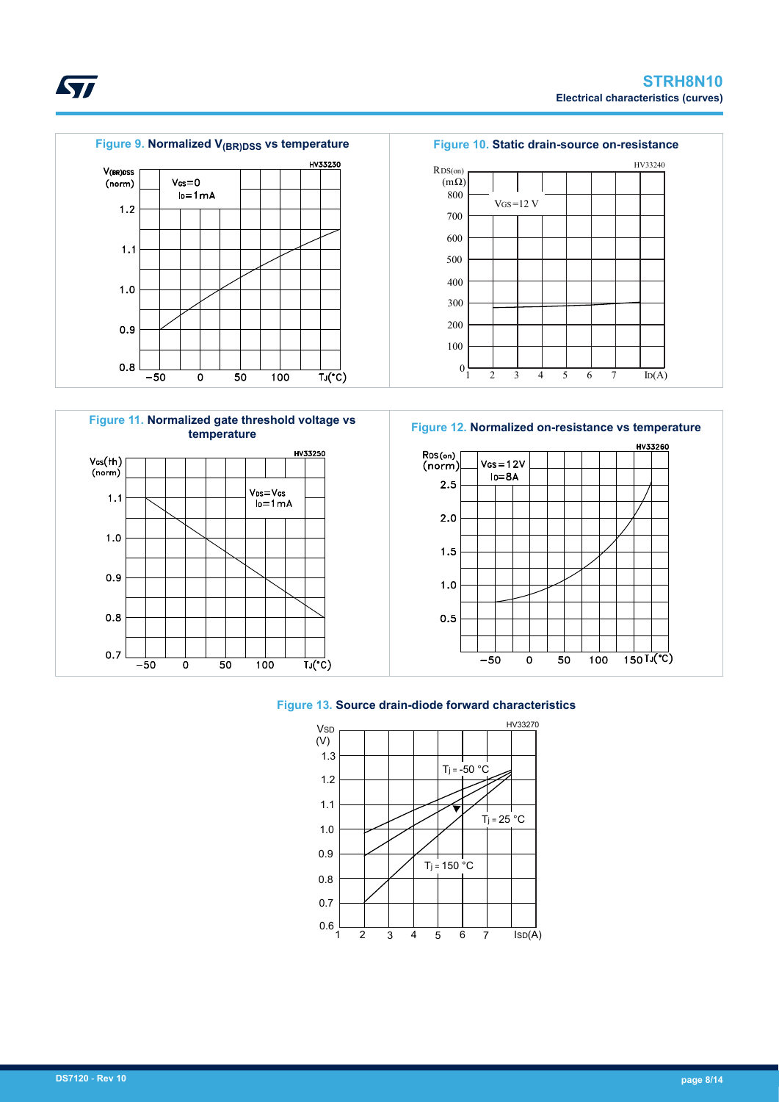

HV33230

 $\overline{TJ(C)}$ 

#### **Figure 9. Normalized V(BR)DSS vs temperature Figure 10. Static drain-source on-resistance**







#### **Figure 13. Source drain-diode forward characteristics**



<span id="page-7-0"></span>

V(BR)DSS

 $(norm)$ 

 $1.2$ 

 $1.1$ 

 $1.0$ 

 $0.9$ 

 $0.8$ 

 $-50$ 

 $V_{GS} = 0$ 

 $I_0 = 1 mA$ 

 $\mathbf 0$ 

 $\overline{50}$ 

 $100$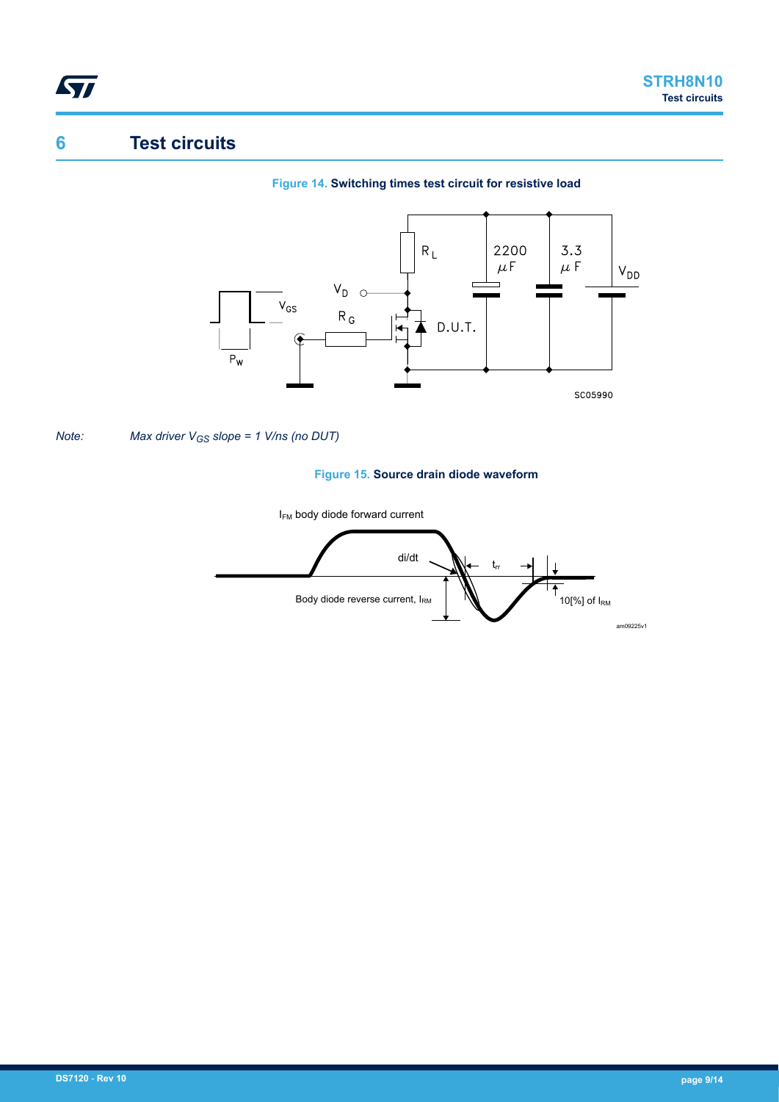# **6 Test circuits**

<span id="page-8-0"></span>ST

### **Figure 14. Switching times test circuit for resistive load**



#### *Note: Max driver VGS slope = 1 V/ns (no DUT)*

#### **Figure 15. Source drain diode waveform**

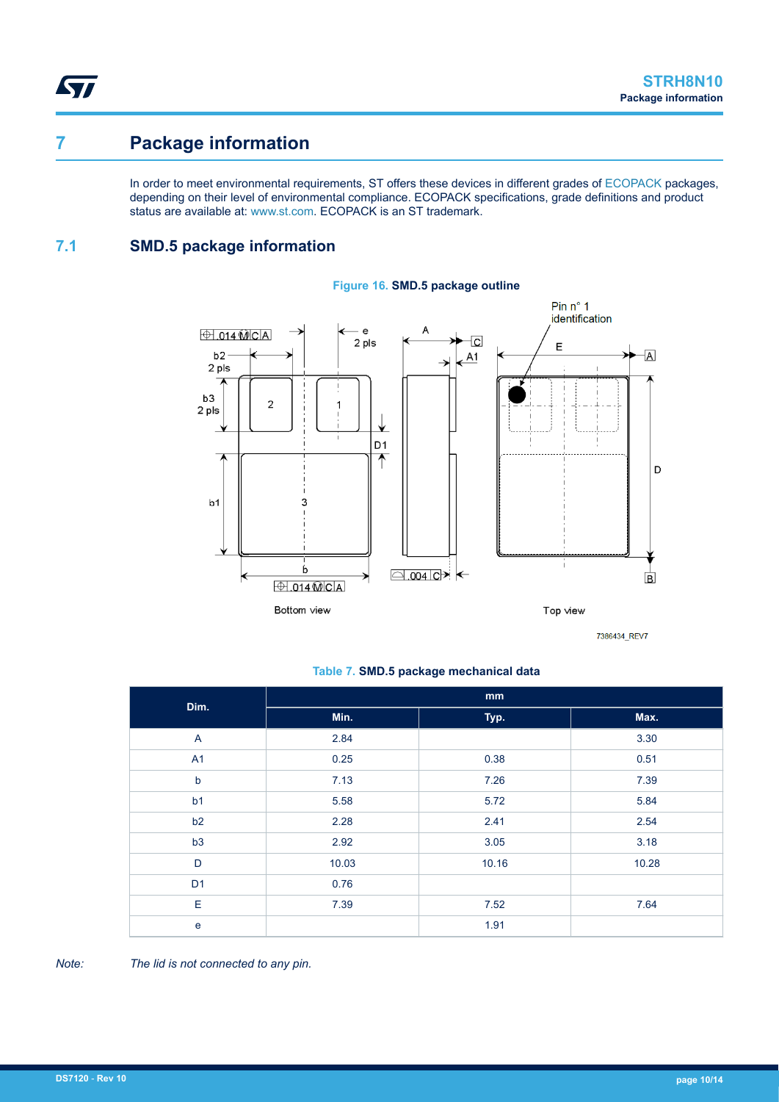ST

# **7 Package information**

In order to meet environmental requirements, ST offers these devices in different grades of [ECOPACK](https://www.st.com/ecopack) packages, depending on their level of environmental compliance. ECOPACK specifications, grade definitions and product status are available at: [www.st.com.](http://www.st.com) ECOPACK is an ST trademark.

### **7.1 SMD.5 package information**



#### **Figure 16. SMD.5 package outline**

#### **Table 7. SMD.5 package mechanical data**

| Dim.           | mm    |       |       |  |  |
|----------------|-------|-------|-------|--|--|
|                | Min.  | Typ.  | Max.  |  |  |
| $\mathsf{A}$   | 2.84  |       | 3.30  |  |  |
| A <sub>1</sub> | 0.25  | 0.38  | 0.51  |  |  |
| $\mathsf b$    | 7.13  | 7.26  | 7.39  |  |  |
| b <sub>1</sub> | 5.58  | 5.72  | 5.84  |  |  |
| b2             | 2.28  | 2.41  | 2.54  |  |  |
| b3             | 2.92  | 3.05  | 3.18  |  |  |
| D              | 10.03 | 10.16 | 10.28 |  |  |
| D <sub>1</sub> | 0.76  |       |       |  |  |
| Е              | 7.39  | 7.52  | 7.64  |  |  |
| $\mathbf e$    |       | 1.91  |       |  |  |

*Note: The lid is not connected to any pin.*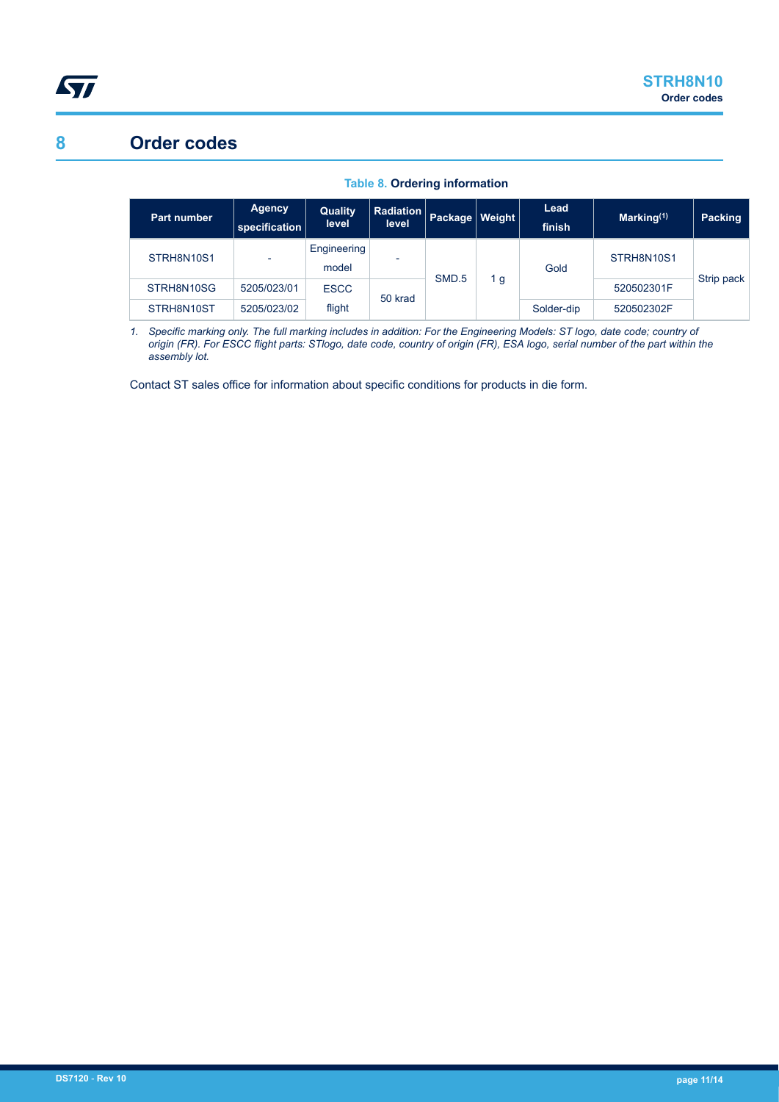# <span id="page-10-0"></span>**8 Order codes**

| Part number | <b>Agency</b><br>specification | Quality<br>level     | <b>Radiation</b><br>level | Package   Weight |     | Lead<br>finish | Marking $(1)$ | Packing    |
|-------------|--------------------------------|----------------------|---------------------------|------------------|-----|----------------|---------------|------------|
| STRH8N10S1  | $\overline{\phantom{0}}$       | Engineering<br>model |                           |                  | 1 g | Gold           | STRH8N10S1    | Strip pack |
| STRH8N10SG  | 5205/023/01                    | <b>ESCC</b>          | SMD.5<br>50 krad          |                  |     |                | 520502301F    |            |
| STRH8N10ST  | 5205/023/02                    | flight               |                           |                  |     | Solder-dip     | 520502302F    |            |

**Table 8. Ordering information**

*1. Specific marking only. The full marking includes in addition: For the Engineering Models: ST logo, date code; country of origin (FR). For ESCC flight parts: STlogo, date code, country of origin (FR), ESA logo, serial number of the part within the assembly lot.*

Contact ST sales office for information about specific conditions for products in die form.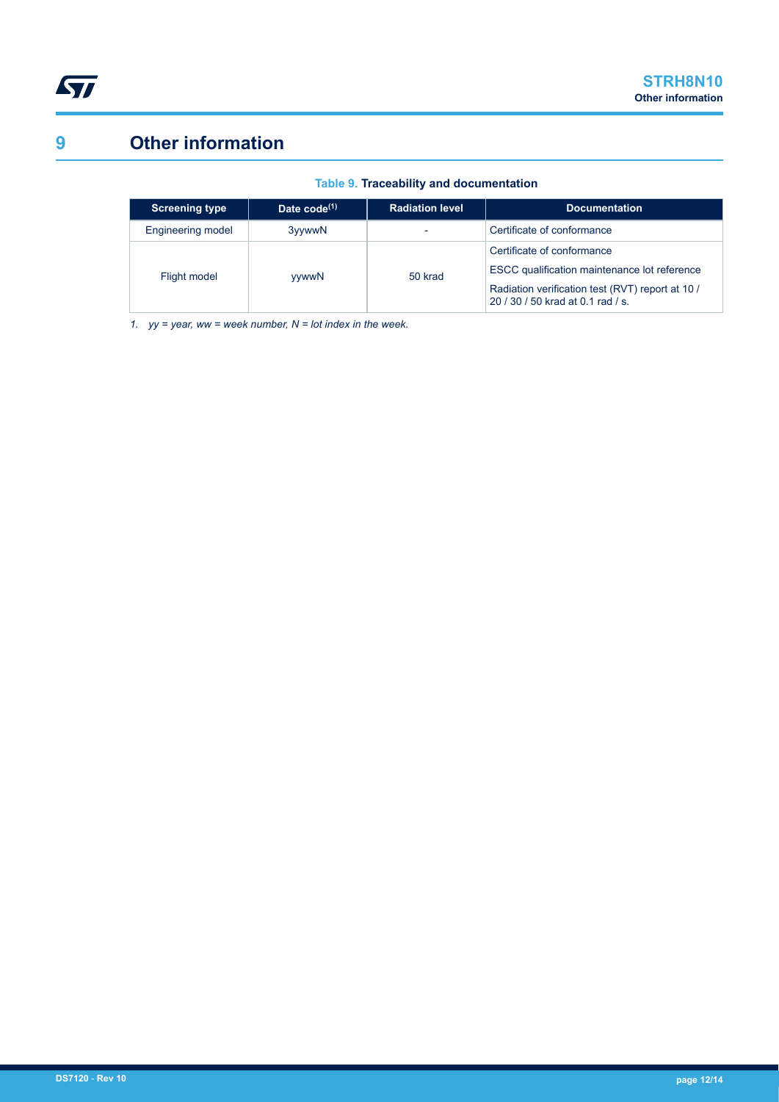<span id="page-11-0"></span>

# **9 Other information**

| <b>Screening type</b> | Date $code^{(1)}$ | <b>Radiation level</b> | <b>Documentation</b>                                                                                                                                            |  |
|-----------------------|-------------------|------------------------|-----------------------------------------------------------------------------------------------------------------------------------------------------------------|--|
| Engineering model     | 3yywwN            |                        | Certificate of conformance                                                                                                                                      |  |
| Flight model          | <b>vywwN</b>      | 50 krad                | Certificate of conformance<br>ESCC qualification maintenance lot reference<br>Radiation verification test (RVT) report at 10 /<br>20/30/50 krad at 0.1 rad / s. |  |

**Table 9. Traceability and documentation**

*1. yy = year, ww = week number, N = lot index in the week.*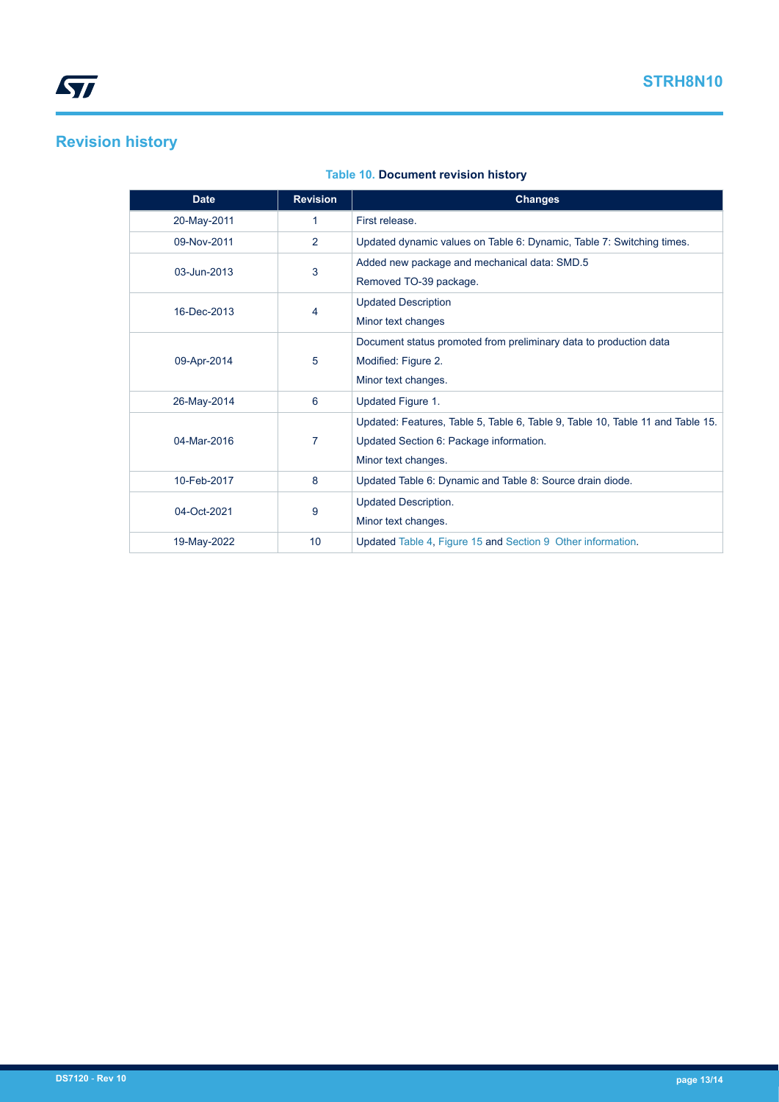# **Revision history**

### **Table 10. Document revision history**

| <b>Date</b>      | <b>Revision</b> | <b>Changes</b>                                                                                                                                   |  |  |
|------------------|-----------------|--------------------------------------------------------------------------------------------------------------------------------------------------|--|--|
| 20-May-2011      | 1               | First release.                                                                                                                                   |  |  |
| 09-Nov-2011      | $\overline{2}$  | Updated dynamic values on Table 6: Dynamic, Table 7: Switching times.                                                                            |  |  |
| 3<br>03-Jun-2013 |                 | Added new package and mechanical data: SMD.5<br>Removed TO-39 package.                                                                           |  |  |
| 16-Dec-2013<br>4 |                 | <b>Updated Description</b><br>Minor text changes                                                                                                 |  |  |
| 09-Apr-2014      | 5               | Document status promoted from preliminary data to production data<br>Modified: Figure 2.<br>Minor text changes.                                  |  |  |
| 26-May-2014      | 6               | Updated Figure 1.                                                                                                                                |  |  |
| 04-Mar-2016<br>7 |                 | Updated: Features, Table 5, Table 6, Table 9, Table 10, Table 11 and Table 15.<br>Updated Section 6: Package information.<br>Minor text changes. |  |  |
| 10-Feb-2017      | 8               | Updated Table 6: Dynamic and Table 8: Source drain diode.                                                                                        |  |  |
| 9<br>04-Oct-2021 |                 | Updated Description.<br>Minor text changes.                                                                                                      |  |  |
| 19-May-2022      | 10              | Updated Table 4, Figure 15 and Section 9 Other information.                                                                                      |  |  |